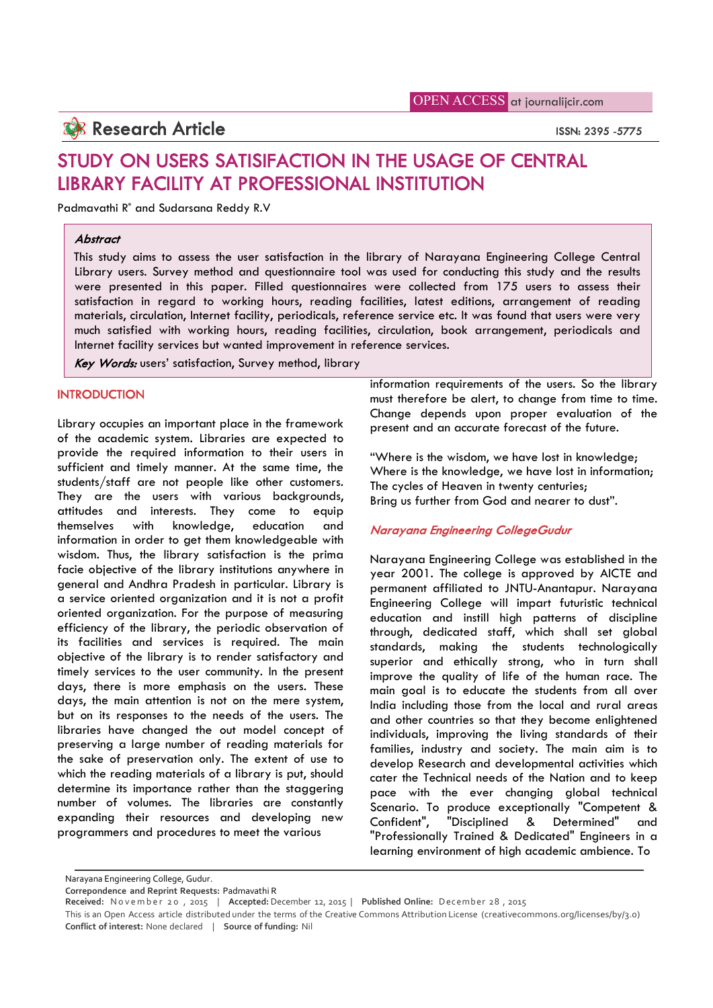## **Research Article** ISSN: 2395 -5775

# STUDY ON USERS SATISIFACTION IN THE USAGE OF CENTRAL LIBRARY FACILITY AT PROFESSIONAL INSTITUTION

Padmavathi R\* and Sudarsana Reddy R.V

#### **Abstract**

This study aims to assess the user satisfaction in the library of Narayana Engineering College Central Library users. Survey method and questionnaire tool was used for conducting this study and the results were presented in this paper. Filled questionnaires were collected from 175 users to assess their satisfaction in regard to working hours, reading facilities, latest editions, arrangement of reading materials, circulation, Internet facility, periodicals, reference service etc. It was found that users were very much satisfied with working hours, reading facilities, circulation, book arrangement, periodicals and Internet facility services but wanted improvement in reference services.

Key Words: users' satisfaction, Survey method, library

## **INTRODUCTION**

Library occupies an important place in the framework of the academic system. Libraries are expected to provide the required information to their users in sufficient and timely manner. At the same time, the students/staff are not people like other customers. They are the users with various backgrounds, attitudes and interests. They come to equip themselves with knowledge, education and information in order to get them knowledgeable with wisdom. Thus, the library satisfaction is the prima facie objective of the library institutions anywhere in general and Andhra Pradesh in particular. Library is a service oriented organization and it is not a profit oriented organization. For the purpose of measuring efficiency of the library, the periodic observation of its facilities and services is required. The main objective of the library is to render satisfactory and timely services to the user community. In the present days, there is more emphasis on the users. These days, the main attention is not on the mere system, but on its responses to the needs of the users. The libraries have changed the out model concept of preserving a large number of reading materials for the sake of preservation only. The extent of use to which the reading materials of a library is put, should determine its importance rather than the staggering number of volumes. The libraries are constantly expanding their resources and developing new programmers and procedures to meet the various

information requirements of the users. So the library must therefore be alert, to change from time to time. Change depends upon proper evaluation of the present and an accurate forecast of the future.

"Where is the wisdom, we have lost in knowledge; Where is the knowledge, we have lost in information; The cycles of Heaven in twenty centuries; Bring us further from God and nearer to dust".

## Narayana Engineering CollegeGudur

Narayana Engineering College was established in the year 2001. The college is approved by AICTE and permanent affiliated to JNTU-Anantapur. Narayana Engineering College will impart futuristic technical education and instill high patterns of discipline through, dedicated staff, which shall set global standards, making the students technologically superior and ethically strong, who in turn shall improve the quality of life of the human race. The main goal is to educate the students from all over India including those from the local and rural areas and other countries so that they become enlightened individuals, improving the living standards of their families, industry and society. The main aim is to develop Research and developmental activities which cater the Technical needs of the Nation and to keep pace with the ever changing global technical Scenario. To produce exceptionally "Competent & Confident", "Disciplined & Determined" and "Professionally Trained & Dedicated" Engineers in a learning environment of high academic ambience. To

Narayana Engineering College, Gudur.

**Correpondence and Reprint Requests:** Padmavathi R

**Received:** N o v e m b e r 2 0 , 2015 | **Accepted:** December 12, 2015 | **Published Online:** D ec emb er 28 , 2015 This is an Open Access article distributed under the terms of the Creative Commons Attribution License (creativecommons.org/licenses/by/3.0)

**Conflict of interest:** None declared | **Source of funding:** Nil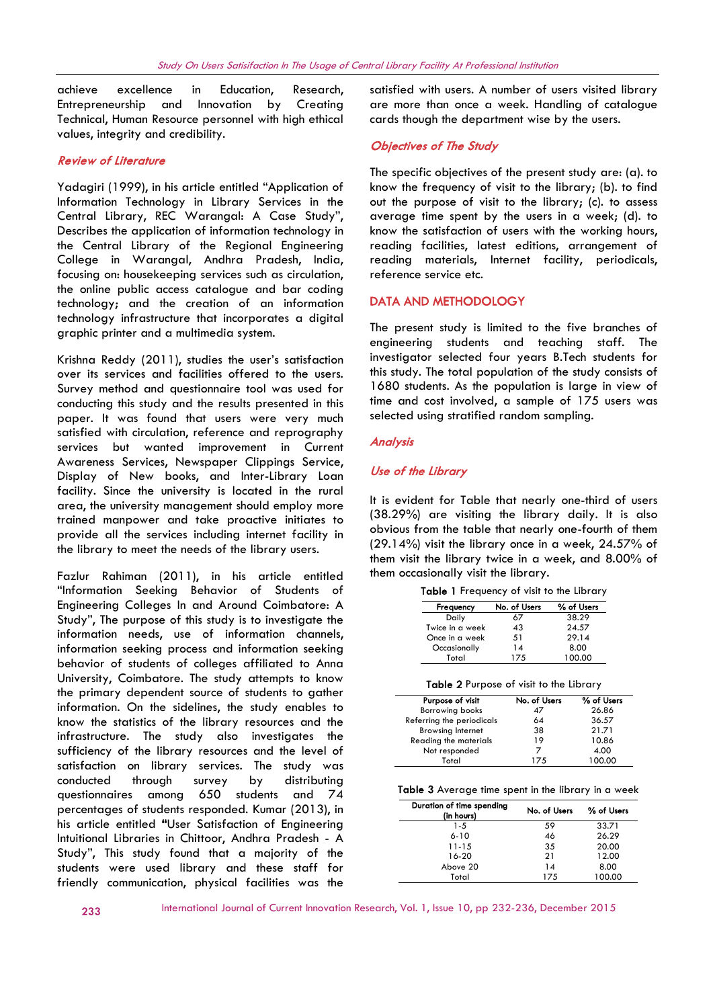achieve excellence in Education, Research, Entrepreneurship and Innovation by Creating Technical, Human Resource personnel with high ethical values, integrity and credibility.

## Review of Literature

Yadagiri (1999), in his article entitled "Application of Information Technology in Library Services in the Central Library, REC Warangal: A Case Study", Describes the application of information technology in the Central Library of the Regional Engineering College in Warangal, Andhra Pradesh, India, focusing on: housekeeping services such as circulation, the online public access catalogue and bar coding technology; and the creation of an information technology infrastructure that incorporates a digital graphic printer and a multimedia system.

Krishna Reddy (2011), studies the user's satisfaction over its services and facilities offered to the users. Survey method and questionnaire tool was used for conducting this study and the results presented in this paper. It was found that users were very much satisfied with circulation, reference and reprography services but wanted improvement in Current Awareness Services, Newspaper Clippings Service, Display of New books, and Inter-Library Loan facility. Since the university is located in the rural area, the university management should employ more trained manpower and take proactive initiates to provide all the services including internet facility in the library to meet the needs of the library users.

Fazlur Rahiman (2011), in his article entitled "Information Seeking Behavior of Students of Engineering Colleges In and Around Coimbatore: A Study", The purpose of this study is to investigate the information needs, use of information channels, information seeking process and information seeking behavior of students of colleges affiliated to Anna University, Coimbatore. The study attempts to know the primary dependent source of students to gather information. On the sidelines, the study enables to know the statistics of the library resources and the infrastructure. The study also investigates the sufficiency of the library resources and the level of satisfaction on library services. The study was conducted through survey by distributing questionnaires among 650 students and 74 percentages of students responded. Kumar (2013), in his article entitled "User Satisfaction of Engineering Intuitional Libraries in Chittoor, Andhra Pradesh - A Study", This study found that a majority of the students were used library and these staff for friendly communication, physical facilities was the

satisfied with users. A number of users visited library are more than once a week. Handling of catalogue cards though the department wise by the users.

## Objectives of The Study

The specific objectives of the present study are: (a). to know the frequency of visit to the library; (b). to find out the purpose of visit to the library; (c). to assess average time spent by the users in a week; (d). to know the satisfaction of users with the working hours, reading facilities, latest editions, arrangement of reading materials, Internet facility, periodicals, reference service etc.

## DATA AND METHODOLOGY

The present study is limited to the five branches of engineering students and teaching staff. The investigator selected four years B.Tech students for this study. The total population of the study consists of 1680 students. As the population is large in view of time and cost involved, a sample of 175 users was selected using stratified random sampling.

## Analysis

## Use of the Library

It is evident for Table that nearly one-third of users (38.29%) are visiting the library daily. It is also obvious from the table that nearly one-fourth of them (29.14%) visit the library once in a week, 24.57% of them visit the library twice in a week, and 8.00% of them occasionally visit the library.

|  |  | Table 1 Frequency of visit to the Library |  |  |  |  |  |  |
|--|--|-------------------------------------------|--|--|--|--|--|--|
|--|--|-------------------------------------------|--|--|--|--|--|--|

| Frequency       | No. of Users | % of Users |  |
|-----------------|--------------|------------|--|
| Daily           | 67           | 38.29      |  |
| Twice in a week | 43           | 24.57      |  |
| Once in a week  | 51           | 29.14      |  |
| Occasionally    | 14           | 8.00       |  |
| Total           | 175          | 100.00     |  |
|                 |              |            |  |

|  |  |  | Table 2 Purpose of visit to the Library |  |  |  |  |
|--|--|--|-----------------------------------------|--|--|--|--|
|--|--|--|-----------------------------------------|--|--|--|--|

| Purpose of visit          | No. of Users | % of Users |
|---------------------------|--------------|------------|
| <b>Borrowing books</b>    | 47           | 26.86      |
| Referring the periodicals | 64           | 36.57      |
| <b>Browsing Internet</b>  | 38           | 21.71      |
| Reading the materials     | 19           | 10.86      |
| Not responded             |              | 4.00       |
| Total                     | 175          | 100.00     |
|                           |              |            |

Table 3 Average time spent in the library in a week

| Duration of time spending<br>(in hours) | No. of Users | % of Users |
|-----------------------------------------|--------------|------------|
| $1 - 5$                                 | 59           | 33.71      |
| $6 - 10$                                | 46           | 26.29      |
| 11-15                                   | 35           | 20.00      |
| 16-20                                   | 21           | 12.00      |
| Above 20                                | 14           | 8.00       |
| Total                                   | 175          | 100.00     |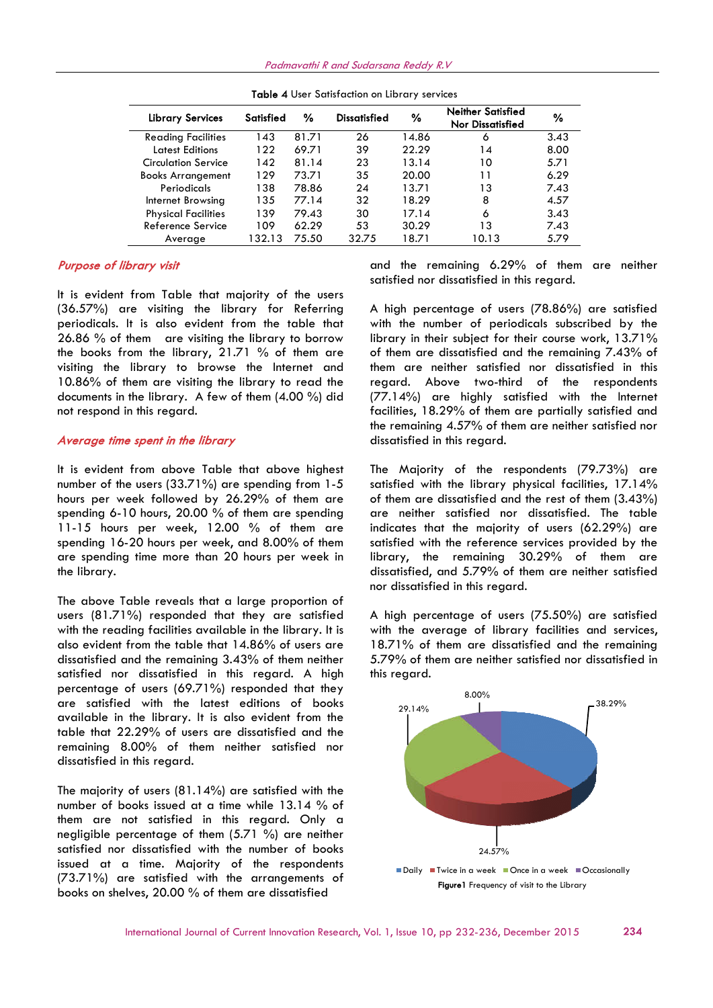Padmavathi R and Sudarsana Reddy R.V

| <b>Library Services</b>    | Satisfied | %     | <b>Dissatisfied</b> | %     | <b>Neither Satisfied</b><br>Nor Dissatisfied | %    |
|----------------------------|-----------|-------|---------------------|-------|----------------------------------------------|------|
| <b>Reading Facilities</b>  | 143       | 81.71 | 26                  | 14.86 | 6                                            | 3.43 |
| <b>Latest Editions</b>     | 122       | 69.71 | 39                  | 22.29 | 14                                           | 8.00 |
| Circulation Service        | 142       | 81.14 | 23                  | 13.14 | 10                                           | 5.71 |
| <b>Books Arrangement</b>   | 129       | 73.71 | 35                  | 20.00 | 11                                           | 6.29 |
| Periodicals                | 138       | 78.86 | 24                  | 13.71 | 13                                           | 7.43 |
| Internet Browsing          | 135       | 77.14 | 32                  | 18.29 | 8                                            | 4.57 |
| <b>Physical Facilities</b> | 139       | 79.43 | 30                  | 17.14 | 6                                            | 3.43 |
| Reference Service          | 109       | 62.29 | 53                  | 30.29 | 13                                           | 7.43 |
| Average                    | 132.13    | 75.50 | 32.75               | 18.71 | 10.13                                        | 5.79 |

Table 4 User Satisfaction on Library services

## Purpose of library visit

It is evident from Table that majority of the users (36.57%) are visiting the library for Referring periodicals. It is also evident from the table that 26.86 % of them are visiting the library to borrow the books from the library, 21.71 % of them are visiting the library to browse the Internet and 10.86% of them are visiting the library to read the documents in the library. A few of them (4.00 %) did not respond in this regard. library to borrow<br>% of them are<br>the Internet and<br>prary to read the

## Average time spent in the library

It is evident from above Table that above highest number of the users  $(33.71\%)$  are spending from 1-5 hours per week followed by 26.29% of them are spending 6-10 hours, 20.00 % of them are spending 11-15 hours per week, 12.00 % of them are spending 16-20 hours per week, and 8.00% of them are spending time more than 20 hours per week in the library. rs per week followed by 26.29% of them are<br>nding 6-10 hours, 20.00 % of them are spending<br>15 hours per week, 12.00 % of them are<br>nding 16-20 hours per week, and 8.00% of them<br>spending time more than 20 hours per week in<br>li

The above Table reveals that a large proportion of users (81.71%) responded that they are satisfied with the reading facilities available in the library. It is also evident from the table that 14.86% of users are dissatisfied and the remaining 3.43% of them neither satisfied nor dissatisfied in this regard. A high percentage of users (69.71%) responded that they are satisfied with the latest editions of books available in the library. It is also evident from the table that 22.29% of users are dissatisfied a remaining 8.00% of them neither satisfied nor dissatisfied in this regard. A high<br>at they<br>books<br>rom the<br>and the

The majority of users (81.14%) are satisfied with the number of books issued at a time while 13.14 % of them are not satisfied in this regard. Only a negligible percentage of them (5.71 %) are neither satisfied nor dissatisfied with the number of books issued at a time. Majority of the respondents (73.71%) are satisfied with the arrangements of books on shelves, 20.00 % of them are dissatisfied

satisfied nor dissatisfied in this regard.

A high percentage of users (78.86%) are satisfied with the number of periodicals subscribed by the library in their subject for their course work, 13.71% of them are dissatisfied and the remaining 7.43% of them are neither satisfied nor dissatisfied in this regard. Above two-third of the respondents (77.14%) are highly satisfied with the Internet facilities, 18.29% of them are partially satisfied and the remaining 4.57% of them are neither satisfied nor dissatisfied in this regard. 5.29% of them are neither<br>d in this regard.<br>users (78.86%) are satisfied<br>periodicals subscribed by the<br>for their course work,  $13.71\%$ <br>d and the remaining 7.43% of them are neither satisfied nor dissatisfied in this<br>regard. Above two-third of the respondents<br>(77.14%) are highly satisfied with the Internet<br>facilities, 18.29% of them are partially satisfied and<br>the remaining 4.57% of t Satisfied<br>
6 3.43<br>
6 3.43<br>
6 3.43<br>
7.43<br>
8 4.57<br>
7.43<br>
8 4.57<br>
7.43<br>
8 7.43<br>
7.43<br>
7.43<br>
7.43<br>
7.43<br>
7.43<br>
7.43<br>
7.43<br>
7.43<br>
7.43<br>
7.43<br>
7.43<br>
7.43<br>
7.43<br>
7.79<br>
6.29% of them and ed in this regard.<br>
of users (78.86%) are<br>

The Majority of the respondents (79.73%) are satisfied with the library physical facilities, 17.14% of them are dissatisfied and the rest of them (3.43%) are neither satisfied nor dissatisfied. The table indicates that the majority of users (62.29%) are satisfied with the reference services provided by the library, the remaining 30.29% of them are dissatisfied, and 5.79% of them are neither satisfied nor dissatisfied in this regard. Majority of the respondents (79.73%) are sfied with the library physical facilities, 17.14% hem are dissatisfied and the rest of them (3.43%) neither satisfied nor dissatisfied. The table cates that the majority of users

A high percentage of users (75.50%) are satisfied with the average of library facilities and services, 18.71% of them are dissatisfied and the remaining 5.79% of them are neither satisfied nor dissatisfied in this regard.

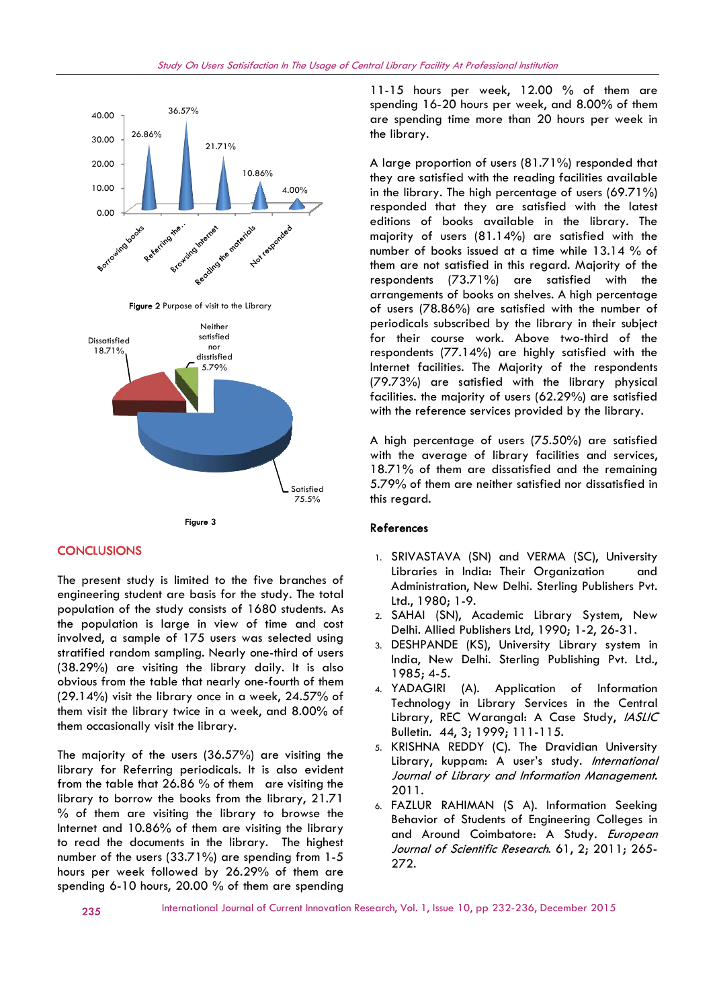



## **CONCLUSIONS**

The present study is limited to the five branches of engineering student are basis for the study. The total population of the study consists of 1680 students. As the population is large in view of time and cost involved, a sample of 175 users was selected using stratified random sampling. Nearly one-third of users (38.29%) are visiting the library daily. It is also obvious from the table that nearly one-fourth of them (29.14%) visit the library once in a week, 24.57% of<br>them visit the library twice in a week, and 8.00% of<br>them occasionally visit the library.<br>The majority of the users (36.57%) are visiting the<br>library for Referring peri them visit the library twice in a week, and 8.00% of them occasionally visit the library.

The majority of the users (36.57%) are visiting the library for Referring periodicals. It is also evident from the table that 26.86 % of them are visiting the library to borrow the books from the library, 21.71 % of them are visiting the library to browse the Internet and 10.86% of them are visiting the library to read the documents in the library. The highest % of them are visiting the library to browse the liternet and  $10.86\%$  of them are visiting the library to read the documents in the library. The highest number of the users  $(33.71\%)$  are spending from 1-5 hours per week followed by 26.29% of them are spending 6-10 hours, 20.00 % of them are spending

11-15 hours per week, 12.00 % of them are spending 16-20 hours per week, and 8.00% of them are spending time more than 20 hours per week in the library.

A large proportion of users (81.71%) responded that they are satisfied with the reading facilities available in the library. The high percentage of users (69.71%) responded that they are satisfied with the latest editions of books available in the library. The majority of users (81.14%) are satisfied with the number of books issued at a time while 13.14 % of them are not satisfied in this regard. Majority of the respondents (73.71%) are satisfied with the arrangements of books on shelves. A high percentage of users (78.86%) are satisfied with the number of periodicals subscribed by the library in their subject for their course work. Above two-third of the respondents (77.14%) are highly satisfied with the<br>Internet facilities. The Maiority of the respondents Internet facilities. The Majority of the respondents (79.73%) are satisfied with the library physical physicalfacilities. the majority of users (62.29%) are satisfied with the reference services provided by the library. more than 20 hours per week<br>n of users (81.71%) responded the<br>with the reading facilities availal<br>high percentage of users (69.71 of books issued at a time while 13.14 % of<br>e not satisfied in this regard. Majority of the<br>ents (73.71%) are satisfied with the<br>ments of books on shelves. A high percentage<br>(78.86%) are satisfied with the number of<br>als sub

A high percentage of users (75.50%) are satisfied with the average of library facilities and services, 18.71% of them are dissatisfied and the remaining 5.79% of them are neither satisfied nor dissatisfied in this regard. of them are dissatisfied and the<br>of them are neither satisfied nor dis<br>ard.<br>NASTAVA (SN) and VERMA (SC),<br>caries in India: Their Organizatio

#### References

- 1. SRIVASTAVA (SN) and VERMA (SC), University Libraries in India: Their Organization and Administration, New Delhi. Sterling Publishers Pvt. Ltd., 1980; 1-9.
- 2. SAHAI (SN), Academic Library System, New System, Delhi. Allied Publishers Ltd, 1990; 1-2, 26-31.
- 3. DESHPANDE (KS), University Library system in India, New Delhi. Sterling Publishing Pvt. Ltd., 1985; 4-5.
- 4. YADAGIRI (A). Application of Information Technology in Library Services in the Central Technology in Library Services in the Central<br>Library, REC Warangal: A Case Study, *IASLIC* Bulletin. 44, 3; 1999; 111-115.
- 5. KRISHNA REDDY (C). The Dravidian University Library, kuppam: A user's study. International Journal of Library and Information Management. 2011.
- 6. FAZLUR RAHIMAN (S A). Information Seeking Behavior of Students of Engineering Colleges in and Around Coimbatore: A Study. European Journal of Scientific Research. 61, 2; 2011; 265-272.